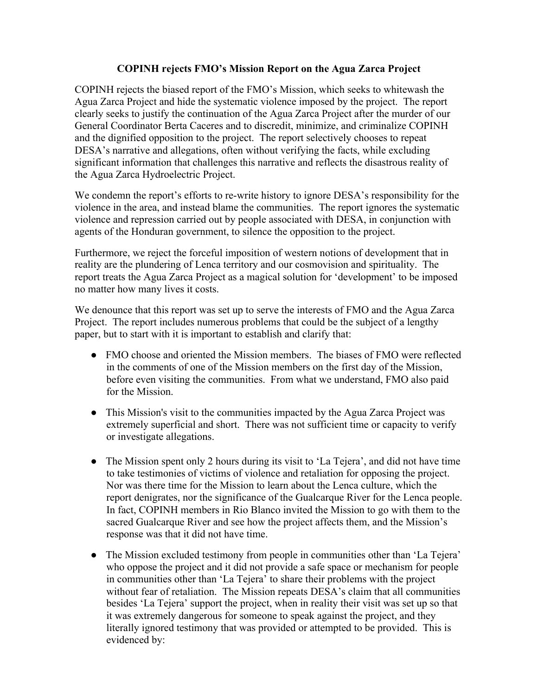## **COPINH rejects FMO's Mission Report on the Agua Zarca Project**

COPINH rejects the biased report of the FMO's Mission, which seeks to whitewash the Agua Zarca Project and hide the systematic violence imposed by the project. The report clearly seeks to justify the continuation of the Agua Zarca Project after the murder of our General Coordinator Berta Caceres and to discredit, minimize, and criminalize COPINH and the dignified opposition to the project. The report selectively chooses to repeat DESA's narrative and allegations, often without verifying the facts, while excluding significant information that challenges this narrative and reflects the disastrous reality of the Agua Zarca Hydroelectric Project.

We condemn the report's efforts to re-write history to ignore DESA's responsibility for the violence in the area, and instead blame the communities. The report ignores the systematic violence and repression carried out by people associated with DESA, in conjunction with agents of the Honduran government, to silence the opposition to the project.

Furthermore, we reject the forceful imposition of western notions of development that in reality are the plundering of Lenca territory and our cosmovision and spirituality. The report treats the Agua Zarca Project as a magical solution for 'development' to be imposed no matter how many lives it costs.

We denounce that this report was set up to serve the interests of FMO and the Agua Zarca Project. The report includes numerous problems that could be the subject of a lengthy paper, but to start with it is important to establish and clarify that:

- FMO choose and oriented the Mission members. The biases of FMO were reflected in the comments of one of the Mission members on the first day of the Mission, before even visiting the communities. From what we understand, FMO also paid for the Mission.
- This Mission's visit to the communities impacted by the Agua Zarca Project was extremely superficial and short. There was not sufficient time or capacity to verify or investigate allegations.
- The Mission spent only 2 hours during its visit to 'La Tejera', and did not have time to take testimonies of victims of violence and retaliation for opposing the project. Nor was there time for the Mission to learn about the Lenca culture, which the report denigrates, nor the significance of the Gualcarque River for the Lenca people. In fact, COPINH members in Rio Blanco invited the Mission to go with them to the sacred Gualcarque River and see how the project affects them, and the Mission's response was that it did not have time.
- The Mission excluded testimony from people in communities other than 'La Tejera' who oppose the project and it did not provide a safe space or mechanism for people in communities other than 'La Tejera' to share their problems with the project without fear of retaliation. The Mission repeats DESA's claim that all communities besides 'La Tejera' support the project, when in reality their visit was set up so that it was extremely dangerous for someone to speak against the project, and they literally ignored testimony that was provided or attempted to be provided. This is evidenced by: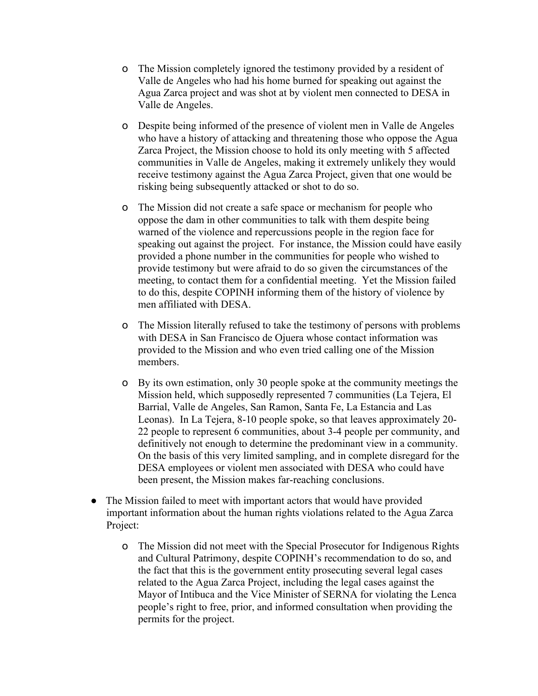- o The Mission completely ignored the testimony provided by a resident of Valle de Angeles who had his home burned for speaking out against the Agua Zarca project and was shot at by violent men connected to DESA in Valle de Angeles.
- o Despite being informed of the presence of violent men in Valle de Angeles who have a history of attacking and threatening those who oppose the Agua Zarca Project, the Mission choose to hold its only meeting with 5 affected communities in Valle de Angeles, making it extremely unlikely they would receive testimony against the Agua Zarca Project, given that one would be risking being subsequently attacked or shot to do so.
- o The Mission did not create a safe space or mechanism for people who oppose the dam in other communities to talk with them despite being warned of the violence and repercussions people in the region face for speaking out against the project. For instance, the Mission could have easily provided a phone number in the communities for people who wished to provide testimony but were afraid to do so given the circumstances of the meeting, to contact them for a confidential meeting. Yet the Mission failed to do this, despite COPINH informing them of the history of violence by men affiliated with DESA.
- o The Mission literally refused to take the testimony of persons with problems with DESA in San Francisco de Ojuera whose contact information was provided to the Mission and who even tried calling one of the Mission members.
- o By its own estimation, only 30 people spoke at the community meetings the Mission held, which supposedly represented 7 communities (La Tejera, El Barrial, Valle de Angeles, San Ramon, Santa Fe, La Estancia and Las Leonas). In La Tejera, 8-10 people spoke, so that leaves approximately 20- 22 people to represent 6 communities, about 3-4 people per community, and definitively not enough to determine the predominant view in a community. On the basis of this very limited sampling, and in complete disregard for the DESA employees or violent men associated with DESA who could have been present, the Mission makes far-reaching conclusions.
- The Mission failed to meet with important actors that would have provided important information about the human rights violations related to the Agua Zarca Project:
	- o The Mission did not meet with the Special Prosecutor for Indigenous Rights and Cultural Patrimony, despite COPINH's recommendation to do so, and the fact that this is the government entity prosecuting several legal cases related to the Agua Zarca Project, including the legal cases against the Mayor of Intibuca and the Vice Minister of SERNA for violating the Lenca people's right to free, prior, and informed consultation when providing the permits for the project.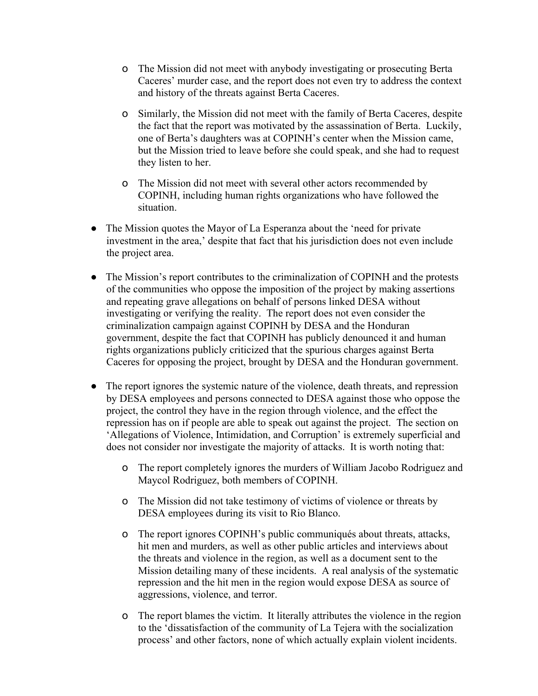- o The Mission did not meet with anybody investigating or prosecuting Berta Caceres' murder case, and the report does not even try to address the context and history of the threats against Berta Caceres.
- o Similarly, the Mission did not meet with the family of Berta Caceres, despite the fact that the report was motivated by the assassination of Berta. Luckily, one of Berta's daughters was at COPINH's center when the Mission came, but the Mission tried to leave before she could speak, and she had to request they listen to her.
- o The Mission did not meet with several other actors recommended by COPINH, including human rights organizations who have followed the situation.
- The Mission quotes the Mayor of La Esperanza about the 'need for private investment in the area,' despite that fact that his jurisdiction does not even include the project area.
- The Mission's report contributes to the criminalization of COPINH and the protests of the communities who oppose the imposition of the project by making assertions and repeating grave allegations on behalf of persons linked DESA without investigating or verifying the reality. The report does not even consider the criminalization campaign against COPINH by DESA and the Honduran government, despite the fact that COPINH has publicly denounced it and human rights organizations publicly criticized that the spurious charges against Berta Caceres for opposing the project, brought by DESA and the Honduran government.
- The report ignores the systemic nature of the violence, death threats, and repression by DESA employees and persons connected to DESA against those who oppose the project, the control they have in the region through violence, and the effect the repression has on if people are able to speak out against the project. The section on 'Allegations of Violence, Intimidation, and Corruption' is extremely superficial and does not consider nor investigate the majority of attacks. It is worth noting that:
	- o The report completely ignores the murders of William Jacobo Rodriguez and Maycol Rodriguez, both members of COPINH.
	- o The Mission did not take testimony of victims of violence or threats by DESA employees during its visit to Rio Blanco.
	- o The report ignores COPINH's public communiqués about threats, attacks, hit men and murders, as well as other public articles and interviews about the threats and violence in the region, as well as a document sent to the Mission detailing many of these incidents. A real analysis of the systematic repression and the hit men in the region would expose DESA as source of aggressions, violence, and terror.
	- o The report blames the victim. It literally attributes the violence in the region to the 'dissatisfaction of the community of La Tejera with the socialization process' and other factors, none of which actually explain violent incidents.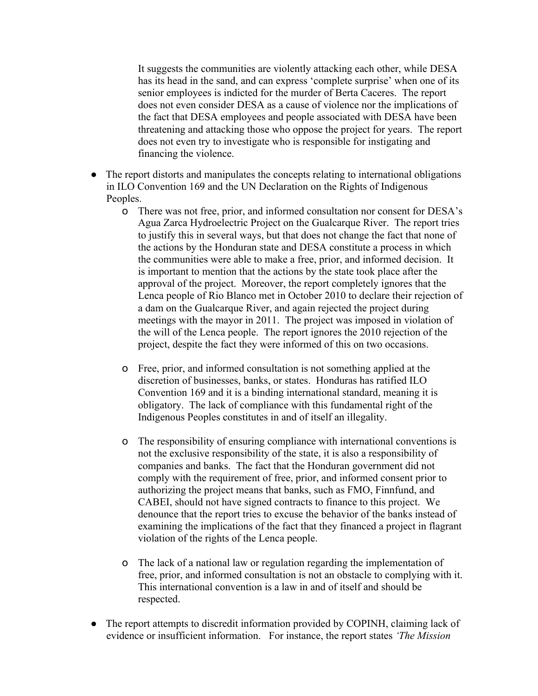It suggests the communities are violently attacking each other, while DESA has its head in the sand, and can express 'complete surprise' when one of its senior employees is indicted for the murder of Berta Caceres. The report does not even consider DESA as a cause of violence nor the implications of the fact that DESA employees and people associated with DESA have been threatening and attacking those who oppose the project for years. The report does not even try to investigate who is responsible for instigating and financing the violence.

- The report distorts and manipulates the concepts relating to international obligations in ILO Convention 169 and the UN Declaration on the Rights of Indigenous Peoples.
	- o There was not free, prior, and informed consultation nor consent for DESA's Agua Zarca Hydroelectric Project on the Gualcarque River. The report tries to justify this in several ways, but that does not change the fact that none of the actions by the Honduran state and DESA constitute a process in which the communities were able to make a free, prior, and informed decision. It is important to mention that the actions by the state took place after the approval of the project. Moreover, the report completely ignores that the Lenca people of Rio Blanco met in October 2010 to declare their rejection of a dam on the Gualcarque River, and again rejected the project during meetings with the mayor in 2011. The project was imposed in violation of the will of the Lenca people. The report ignores the 2010 rejection of the project, despite the fact they were informed of this on two occasions.
	- o Free, prior, and informed consultation is not something applied at the discretion of businesses, banks, or states. Honduras has ratified ILO Convention 169 and it is a binding international standard, meaning it is obligatory. The lack of compliance with this fundamental right of the Indigenous Peoples constitutes in and of itself an illegality.
	- o The responsibility of ensuring compliance with international conventions is not the exclusive responsibility of the state, it is also a responsibility of companies and banks. The fact that the Honduran government did not comply with the requirement of free, prior, and informed consent prior to authorizing the project means that banks, such as FMO, Finnfund, and CABEI, should not have signed contracts to finance to this project. We denounce that the report tries to excuse the behavior of the banks instead of examining the implications of the fact that they financed a project in flagrant violation of the rights of the Lenca people.
	- o The lack of a national law or regulation regarding the implementation of free, prior, and informed consultation is not an obstacle to complying with it. This international convention is a law in and of itself and should be respected.
- The report attempts to discredit information provided by COPINH, claiming lack of evidence or insufficient information. For instance, the report states *'The Mission*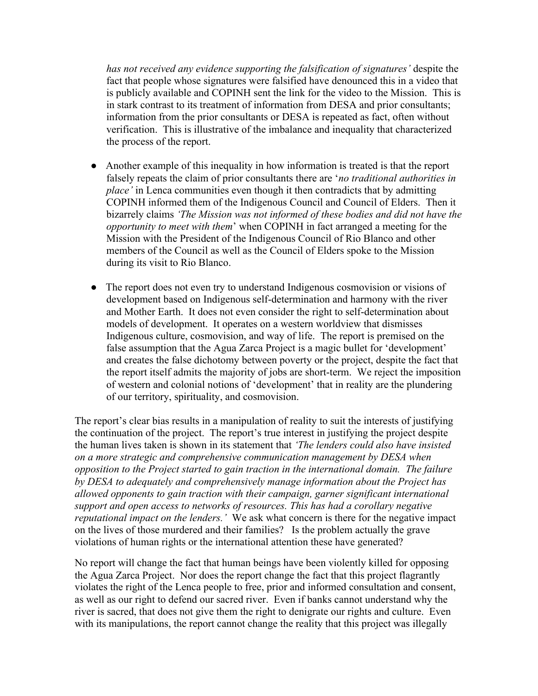*has not received any evidence supporting the falsification of signatures'* despite the fact that people whose signatures were falsified have denounced this in a video that is publicly available and COPINH sent the link for the video to the Mission. This is in stark contrast to its treatment of information from DESA and prior consultants; information from the prior consultants or DESA is repeated as fact, often without verification. This is illustrative of the imbalance and inequality that characterized the process of the report.

- Another example of this inequality in how information is treated is that the report falsely repeats the claim of prior consultants there are '*no traditional authorities in place'* in Lenca communities even though it then contradicts that by admitting COPINH informed them of the Indigenous Council and Council of Elders. Then it bizarrely claims *'The Mission was not informed of these bodies and did not have the opportunity to meet with them*' when COPINH in fact arranged a meeting for the Mission with the President of the Indigenous Council of Rio Blanco and other members of the Council as well as the Council of Elders spoke to the Mission during its visit to Rio Blanco.
- The report does not even try to understand Indigenous cosmovision or visions of development based on Indigenous self-determination and harmony with the river and Mother Earth. It does not even consider the right to self-determination about models of development. It operates on a western worldview that dismisses Indigenous culture, cosmovision, and way of life. The report is premised on the false assumption that the Agua Zarca Project is a magic bullet for 'development' and creates the false dichotomy between poverty or the project, despite the fact that the report itself admits the majority of jobs are short-term. We reject the imposition of western and colonial notions of 'development' that in reality are the plundering of our territory, spirituality, and cosmovision.

The report's clear bias results in a manipulation of reality to suit the interests of justifying the continuation of the project. The report's true interest in justifying the project despite the human lives taken is shown in its statement that *'The lenders could also have insisted on a more strategic and comprehensive communication management by DESA when opposition to the Project started to gain traction in the international domain. The failure by DESA to adequately and comprehensively manage information about the Project has allowed opponents to gain traction with their campaign, garner significant international support and open access to networks of resources. This has had a corollary negative reputational impact on the lenders.'* We ask what concern is there for the negative impact on the lives of those murdered and their families? Is the problem actually the grave violations of human rights or the international attention these have generated?

No report will change the fact that human beings have been violently killed for opposing the Agua Zarca Project. Nor does the report change the fact that this project flagrantly violates the right of the Lenca people to free, prior and informed consultation and consent, as well as our right to defend our sacred river. Even if banks cannot understand why the river is sacred, that does not give them the right to denigrate our rights and culture. Even with its manipulations, the report cannot change the reality that this project was illegally